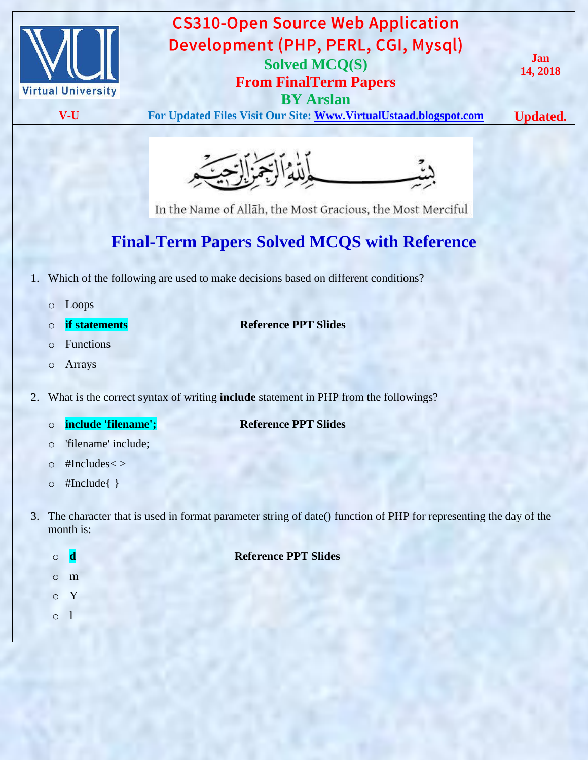



In the Name of Allāh, the Most Gracious, the Most Merciful

# **Final-Term Papers Solved MCQS with Reference**

- 1. Which of the following are used to make decisions based on different conditions?
	- o Loops
	-
	- o **if statements Reference PPT Slides**
	- o Functions o Arrays
- 2. What is the correct syntax of writing **include** statement in PHP from the followings?
	- o **include 'filename'; Reference PPT Slides**
	- o 'filename' include;
	- $\circ$  #Includes <>
	- o #Include{ }
- 3. The character that is used in format parameter string of date() function of PHP for representing the day of the month is:

| $\Omega$   |              | <b>Reference PPT Slides</b> |
|------------|--------------|-----------------------------|
| $\Omega$   | m            |                             |
| $\bigcirc$ | $\mathbf{Y}$ |                             |
|            |              |                             |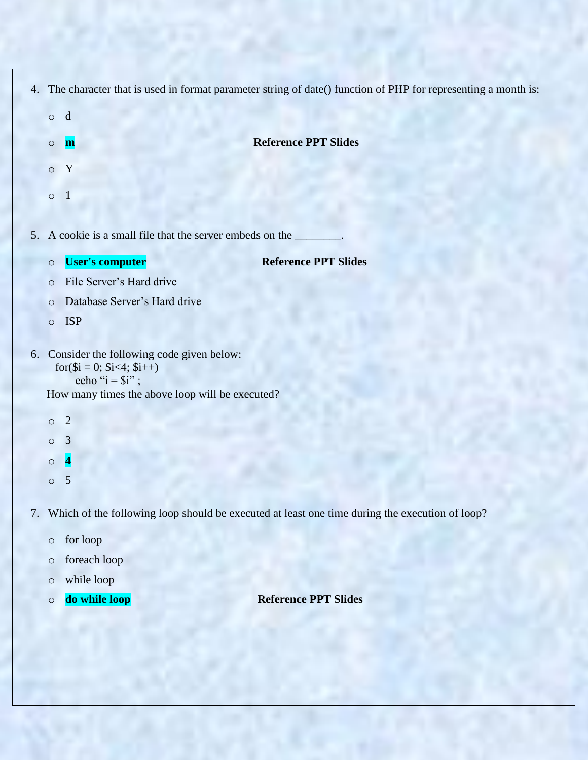|    |         | 4. The character that is used in format parameter string of date() function of PHP for representing a month is: |
|----|---------|-----------------------------------------------------------------------------------------------------------------|
|    | $\circ$ | d                                                                                                               |
|    | $\circ$ | <b>Reference PPT Slides</b><br>m                                                                                |
|    | $\circ$ | Y                                                                                                               |
|    | $\circ$ | $\mathbf{1}$                                                                                                    |
| 5. |         | A cookie is a small file that the server embeds on the                                                          |
|    | $\circ$ | <b>User's computer</b><br><b>Reference PPT Slides</b>                                                           |
|    | $\circ$ | File Server's Hard drive                                                                                        |
|    | $\circ$ | Database Server's Hard drive                                                                                    |
|    | $\circ$ | <b>ISP</b>                                                                                                      |
|    |         | 6. Consider the following code given below:<br>$for$ (\$i = 0; \$i<4; \$i++)<br>echo " $i = $i$ ";              |
|    |         | How many times the above loop will be executed?                                                                 |
|    | $\circ$ | $\overline{2}$                                                                                                  |
|    | $\circ$ | 3                                                                                                               |
|    | $\circ$ | $\overline{\mathbf{4}}$                                                                                         |
|    | $\circ$ | 5                                                                                                               |
|    |         |                                                                                                                 |

7. Which of the following loop should be executed at least one time during the execution of loop?

- o for loop
- o foreach loop
- o while loop
- 

o **do while loop Reference PPT Slides**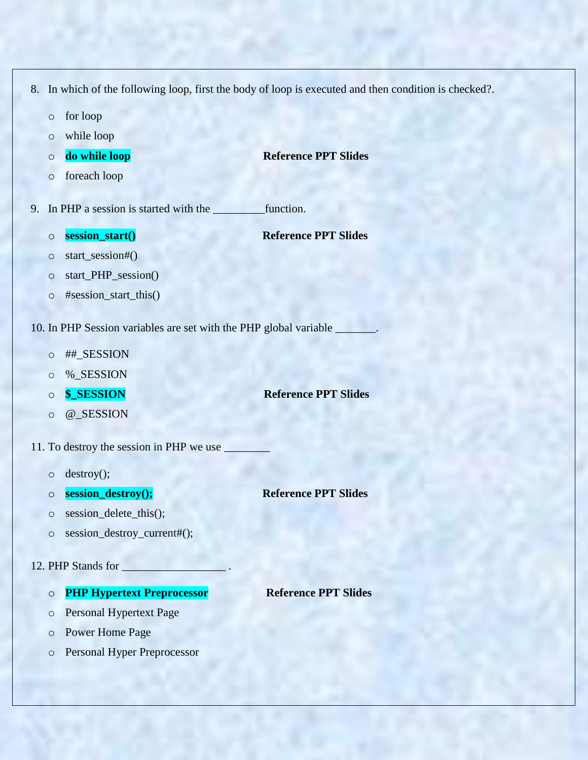- 8. In which of the following loop, first the body of loop is executed and then condition is checked?.
	- o for loop
	- o while loop
	- o **do while loop Reference PPT Slides**
	- o foreach loop
- 
- 9. In PHP a session is started with the \_\_\_\_\_\_\_\_\_function.
	- o **session\_start()** Reference PPT Slides
	- o start\_session#()
	- o start\_PHP\_session()
	- o #session\_start\_this()
- 10. In PHP Session variables are set with the PHP global variable \_\_\_\_\_\_\_.
	- o ##\_SESSION
	- o %\_SESSION
	-
	- o @\_SESSION
- 11. To destroy the session in PHP we use
	- o destroy();
	- o **session\_destroy(); Reference PPT Slides**
	- o session\_delete\_this();
	- o session\_destroy\_current#();

### 12. PHP Stands for

- o **PHP Hypertext Preprocessor Reference PPT Slides**
- o Personal Hypertext Page
- o Power Home Page
- o Personal Hyper Preprocessor

# o **\$\_SESSION Reference PPT Slides**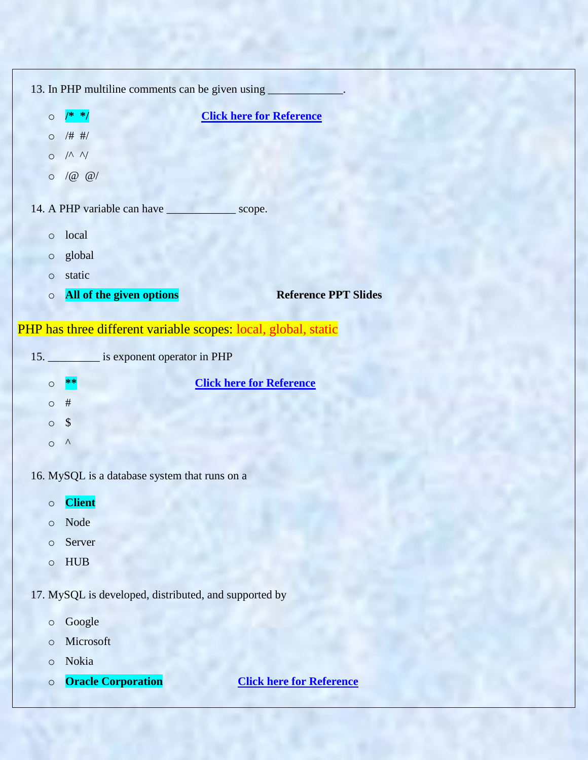|                                                       |         |                                                      | 13. In PHP multiline comments can be given using _____________. |  |
|-------------------------------------------------------|---------|------------------------------------------------------|-----------------------------------------------------------------|--|
|                                                       |         | $0$ /* */                                            | <b>Click here for Reference</b>                                 |  |
|                                                       |         | 0 / # #/                                             |                                                                 |  |
|                                                       |         | O / N N                                              |                                                                 |  |
|                                                       |         | $\circ$ /@ @/                                        |                                                                 |  |
|                                                       |         | 14. A PHP variable can have _________________ scope. |                                                                 |  |
|                                                       | $\circ$ | local                                                |                                                                 |  |
|                                                       | $\circ$ | global                                               |                                                                 |  |
|                                                       | $\circ$ | static                                               |                                                                 |  |
|                                                       | $\circ$ | All of the given options                             | <b>Reference PPT Slides</b>                                     |  |
|                                                       |         |                                                      |                                                                 |  |
|                                                       |         |                                                      | PHP has three different variable scopes: local, global, static  |  |
|                                                       |         | 15. ___________ is exponent operator in PHP          |                                                                 |  |
|                                                       | $\circ$ | $**$                                                 | <b>Click here for Reference</b>                                 |  |
|                                                       | $\circ$ | $\#$                                                 |                                                                 |  |
|                                                       | $\circ$ | $\sqrt[6]{\frac{1}{2}}$                              |                                                                 |  |
|                                                       | $\circ$ | $\wedge$                                             |                                                                 |  |
|                                                       |         |                                                      |                                                                 |  |
|                                                       |         | 16. MySQL is a database system that runs on a        |                                                                 |  |
|                                                       | $\circ$ | <b>Client</b>                                        |                                                                 |  |
|                                                       | $\circ$ | Node                                                 |                                                                 |  |
|                                                       | $\circ$ | Server                                               |                                                                 |  |
|                                                       | $\circ$ | <b>HUB</b>                                           |                                                                 |  |
|                                                       |         |                                                      |                                                                 |  |
| 17. MySQL is developed, distributed, and supported by |         |                                                      |                                                                 |  |
|                                                       | $\circ$ | Google                                               |                                                                 |  |
|                                                       | $\circ$ | Microsoft                                            |                                                                 |  |
|                                                       | $\circ$ | Nokia                                                |                                                                 |  |
|                                                       | $\circ$ | <b>Oracle Corporation</b>                            | <b>Click here for Reference</b>                                 |  |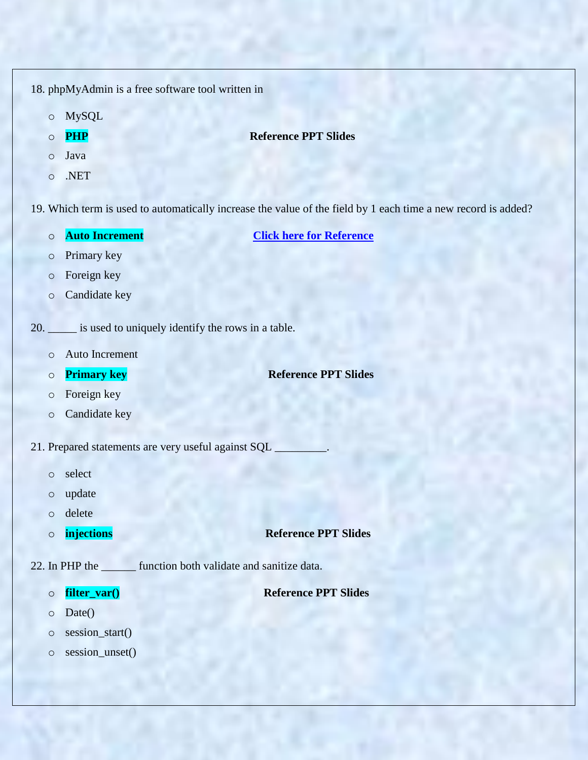18. phpMyAdmin is a free software tool written in

- o MySQL
- 

## o **PHP** Reference PPT Slides

- o Java
- o .NET

19. Which term is used to automatically increase the value of the field by 1 each time a new record is added?

o **Auto Increment [Click here for Reference](https://www.w3schools.com/sql/sql_autoincrement.asp)**

- o Primary key
- o Foreign key
- o Candidate key
- 20. \_\_\_\_\_ is used to uniquely identify the rows in a table.
	- o Auto Increment
	- o **Primary key** Reference PPT Slides
	- o Foreign key
	- o Candidate key
- 21. Prepared statements are very useful against SQL
	- o select
	- o update
	- o delete
	-

o **injections Reference PPT Slides**

- 22. In PHP the function both validate and sanitize data.
	-

o **filter\_var() Reference PPT Slides**

- o Date()
- o session\_start()
- o session\_unset()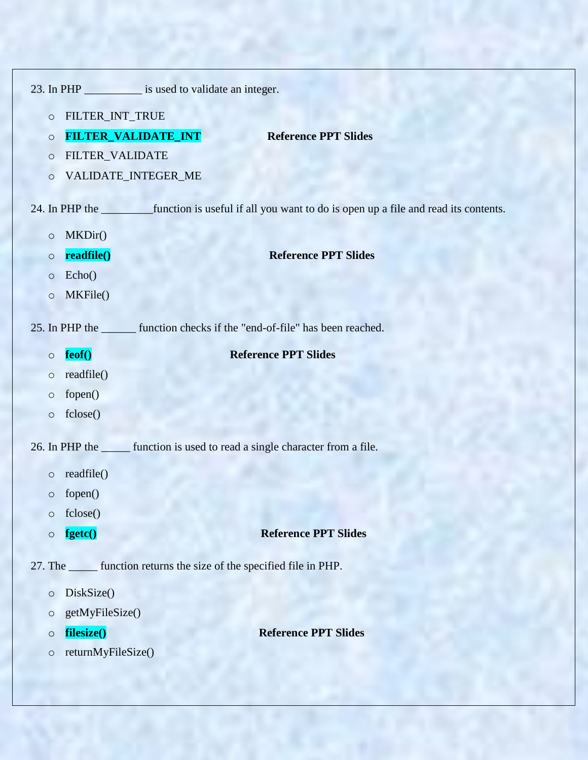|                                                                         |                     | 23. In PHP ____________ is used to validate an integer.                                                      |  |  |  |
|-------------------------------------------------------------------------|---------------------|--------------------------------------------------------------------------------------------------------------|--|--|--|
| $\circ$                                                                 | FILTER_INT_TRUE     |                                                                                                              |  |  |  |
| $\circ$                                                                 | FILTER_VALIDATE_INT | <b>Reference PPT Slides</b>                                                                                  |  |  |  |
| $\circ$                                                                 | FILTER_VALIDATE     |                                                                                                              |  |  |  |
| $\circ$                                                                 | VALIDATE_INTEGER_ME |                                                                                                              |  |  |  |
|                                                                         |                     | 24. In PHP the ____________function is useful if all you want to do is open up a file and read its contents. |  |  |  |
| $\circ$                                                                 | MKDir()             |                                                                                                              |  |  |  |
| $\circ$                                                                 | readfile()          | <b>Reference PPT Slides</b>                                                                                  |  |  |  |
| $\circ$                                                                 | Echo()              |                                                                                                              |  |  |  |
| $\circ$                                                                 | MKFile()            |                                                                                                              |  |  |  |
|                                                                         |                     | 25. In PHP the settlem function checks if the "end-of-file" has been reached.                                |  |  |  |
| $\circ$                                                                 | feof()              | <b>Reference PPT Slides</b>                                                                                  |  |  |  |
| $\circ$                                                                 | readfile()          |                                                                                                              |  |  |  |
| $\circ$                                                                 | fopen()             |                                                                                                              |  |  |  |
| $\circ$                                                                 | fclose()            |                                                                                                              |  |  |  |
|                                                                         |                     | 26. In PHP the settle function is used to read a single character from a file.                               |  |  |  |
| $\circ$                                                                 | readfile()          |                                                                                                              |  |  |  |
| $\circ$                                                                 | fopen()             |                                                                                                              |  |  |  |
| $\circ$                                                                 | fclose()            |                                                                                                              |  |  |  |
| $\circ$                                                                 | fgetc()             | <b>Reference PPT Slides</b>                                                                                  |  |  |  |
| 27. The _______ function returns the size of the specified file in PHP. |                     |                                                                                                              |  |  |  |
| $\circ$                                                                 | DiskSize()          |                                                                                                              |  |  |  |
| $\circ$                                                                 | getMyFileSize()     |                                                                                                              |  |  |  |
| $\circ$                                                                 | filesize()          | <b>Reference PPT Slides</b>                                                                                  |  |  |  |
| $\circ$                                                                 | returnMyFileSize()  |                                                                                                              |  |  |  |
|                                                                         |                     |                                                                                                              |  |  |  |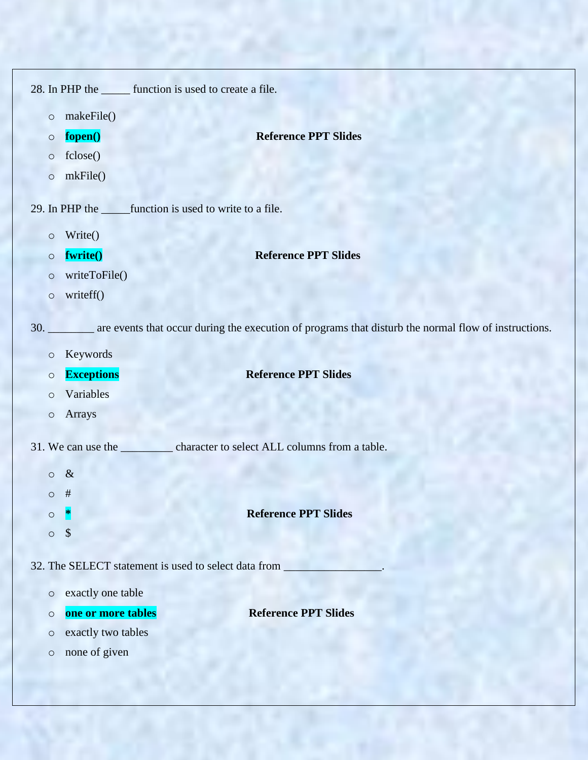|                    | 28. In PHP the _______ function is used to create a file. |                                                                                                                  |  |  |
|--------------------|-----------------------------------------------------------|------------------------------------------------------------------------------------------------------------------|--|--|
| $\circ$            | makeFile()                                                |                                                                                                                  |  |  |
| $\circ$            | fopen()                                                   | <b>Reference PPT Slides</b>                                                                                      |  |  |
| $\circ$            | fclose()                                                  |                                                                                                                  |  |  |
| $\circ$            | mkFile()                                                  |                                                                                                                  |  |  |
|                    |                                                           | 29. In PHP the ________ function is used to write to a file.                                                     |  |  |
|                    |                                                           |                                                                                                                  |  |  |
| $\circ$            | Write()                                                   |                                                                                                                  |  |  |
| $\circ$            | fwrite()<br>writeToFile()                                 | <b>Reference PPT Slides</b>                                                                                      |  |  |
| $\circ$<br>$\circ$ | writeff()                                                 |                                                                                                                  |  |  |
|                    |                                                           |                                                                                                                  |  |  |
|                    |                                                           | 30. _______ are events that occur during the execution of programs that disturb the normal flow of instructions. |  |  |
| $\circ$            | Keywords                                                  |                                                                                                                  |  |  |
| $\circ$            | <b>Exceptions</b>                                         | <b>Reference PPT Slides</b>                                                                                      |  |  |
| $\circ$            | Variables                                                 |                                                                                                                  |  |  |
|                    |                                                           |                                                                                                                  |  |  |
| $\circ$            | Arrays                                                    |                                                                                                                  |  |  |
|                    |                                                           |                                                                                                                  |  |  |
|                    |                                                           | 31. We can use the ___________ character to select ALL columns from a table.                                     |  |  |
| $\circ$            | $\alpha$<br>ᅭ                                             |                                                                                                                  |  |  |
| O                  | $^{\rm \texttt{+}}$                                       |                                                                                                                  |  |  |
| $\circ$            |                                                           | <b>Reference PPT Slides</b>                                                                                      |  |  |
| $\circ$            | \$                                                        |                                                                                                                  |  |  |
|                    |                                                           | 32. The SELECT statement is used to select data from                                                             |  |  |
| $\circ$            | exactly one table                                         |                                                                                                                  |  |  |
| $\circ$            | one or more tables                                        | <b>Reference PPT Slides</b>                                                                                      |  |  |
| $\circ$            | exactly two tables                                        |                                                                                                                  |  |  |
| $\circ$            | none of given                                             |                                                                                                                  |  |  |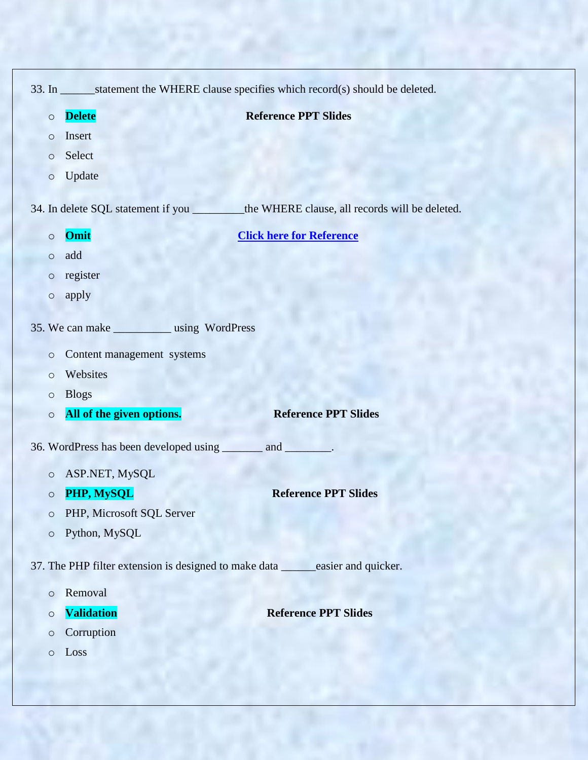|                     |                                                              | 33. In _______statement the WHERE clause specifies which record(s) should be deleted.       |
|---------------------|--------------------------------------------------------------|---------------------------------------------------------------------------------------------|
| $\circ$             | <b>Delete</b>                                                | <b>Reference PPT Slides</b>                                                                 |
| $\circ$             | Insert                                                       |                                                                                             |
| $\circlearrowright$ | Select                                                       |                                                                                             |
| $\circ$             | Update                                                       |                                                                                             |
|                     |                                                              | 34. In delete SQL statement if you _________ the WHERE clause, all records will be deleted. |
| $\circ$             | Omit                                                         | <b>Click here for Reference</b>                                                             |
| $\circ$             | add                                                          |                                                                                             |
| $\circ$             | register                                                     |                                                                                             |
| $\circ$             | apply                                                        |                                                                                             |
|                     | 35. We can make ____________ using WordPress                 |                                                                                             |
| $\circ$             | Content management systems                                   |                                                                                             |
| $\circ$             | Websites                                                     |                                                                                             |
| $\circ$             | <b>Blogs</b>                                                 |                                                                                             |
| $\circ$             | All of the given options.                                    | <b>Reference PPT Slides</b>                                                                 |
|                     | 36. WordPress has been developed using _______ and ________. |                                                                                             |
| $\circ$             | ASP.NET, MySQL                                               |                                                                                             |
| $\circ$             | PHP, MySQL                                                   | <b>Reference PPT Slides</b>                                                                 |
| $\circ$             | PHP, Microsoft SQL Server                                    |                                                                                             |
| $\circ$             | Python, MySQL                                                |                                                                                             |
|                     | 37. The PHP filter extension is designed to make data        | easier and quicker.                                                                         |
| $\circ$             | Removal                                                      |                                                                                             |
| $\circ$             | <b>Validation</b>                                            | <b>Reference PPT Slides</b>                                                                 |
| $\circ$             | Corruption                                                   |                                                                                             |
| $\circ$             | Loss                                                         |                                                                                             |
|                     |                                                              |                                                                                             |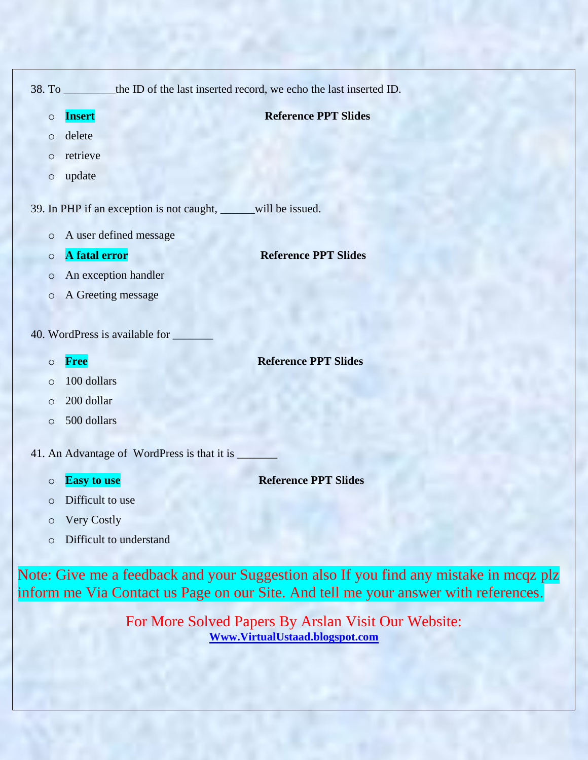|         | 38. To __________ the ID of the last inserted record, we echo the last inserted ID. |                             |
|---------|-------------------------------------------------------------------------------------|-----------------------------|
| $\circ$ | <b>Insert</b>                                                                       | <b>Reference PPT Slides</b> |
| $\circ$ | delete                                                                              |                             |
| $\circ$ | retrieve                                                                            |                             |
| $\circ$ | update                                                                              |                             |
|         | 39. In PHP if an exception is not caught, _____will be issued.                      |                             |
| $\circ$ | A user defined message                                                              |                             |
| $\circ$ | A fatal error                                                                       | <b>Reference PPT Slides</b> |
| $\circ$ | An exception handler                                                                |                             |
| $\circ$ | A Greeting message                                                                  |                             |
|         |                                                                                     |                             |
|         | 40. WordPress is available for                                                      |                             |
| $\circ$ | <b>Free</b>                                                                         | <b>Reference PPT Slides</b> |
| $\circ$ | 100 dollars                                                                         |                             |
| $\circ$ | 200 dollar                                                                          |                             |
| $\circ$ | 500 dollars                                                                         |                             |
|         | 41. An Advantage of WordPress is that it is                                         |                             |

o **Easy to use Reference PPT Slides**

- o Difficult to use
- o Very Costly
- o Difficult to understand

Note: Give me a feedback and your Suggestion also If you find any mistake in mcqz plz inform me Via Contact us Page on our Site. And tell me your answer with references.

> For More Solved Papers By Arslan Visit Our Website: **[Www.VirtualUstaad.blogspot.com](http://www.virtualustaad.blogspot.com/)**